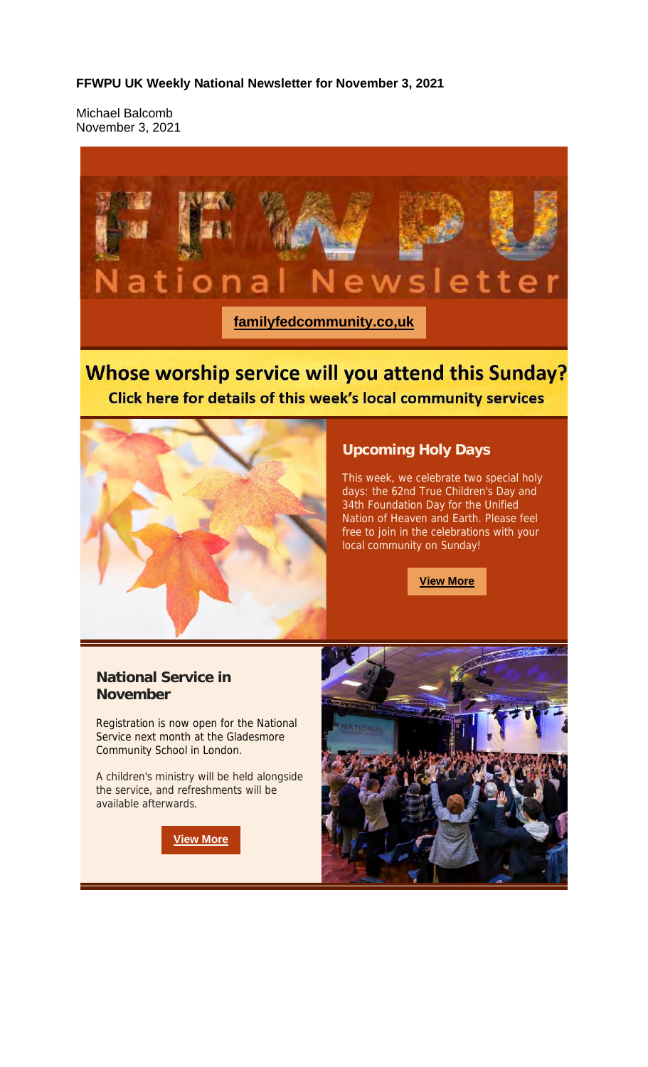#### **FFWPU UK Weekly National Newsletter for November 3, 2021**

Michael Balcomb November 3, 2021



# Whose worship service will you attend this Sunday? Click here for details of this week's local community services



## **Upcoming Holy Days**

This week, we celebrate two special holy days: the 62nd True Children's Day and 34th Foundation Day for the Unified Nation of Heaven and Earth. Please feel free to join in the celebrations with your local community on Sunday!

**View More**

#### **National Service in November**

Registration is now open for the National Service next month at the Gladesmore Community School in London.

A children's ministry will be held alongside the service, and refreshments will be available afterwards.

**View More**

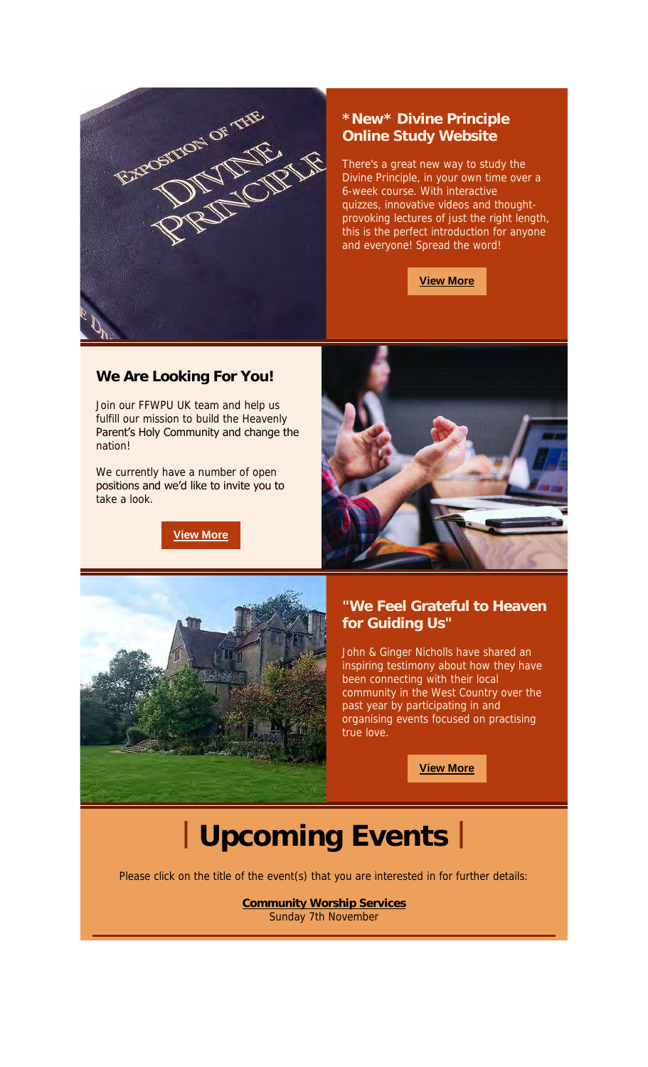

#### **\*New\* Divine Principle Online Study Website**

There's a great new way to study the Divine Principle, in your own time over a 6-week course. With interactive quizzes, innovative videos and thoughtprovoking lectures of just the right length, this is the perfect introduction for anyone and everyone! Spread the word!



# **We Are Looking For You!**

Join our FFWPU UK team and help us fulfill our mission to build the Heavenly Parent's Holy Community and change the nation!

We currently have a number of open positions and we'd like to invite you to take a look.

**View More**





### **"We Feel Grateful to Heaven for Guiding Us"**

John & Ginger Nicholls have shared an inspiring testimony about how they have been connecting with their local community in the West Country over the past year by participating in and organising events focused on practising true love.

**View More**

# **| Upcoming Events |**

Please click on the title of the event(s) that you are interested in for further details:

**Community Worship Services** Sunday 7th November